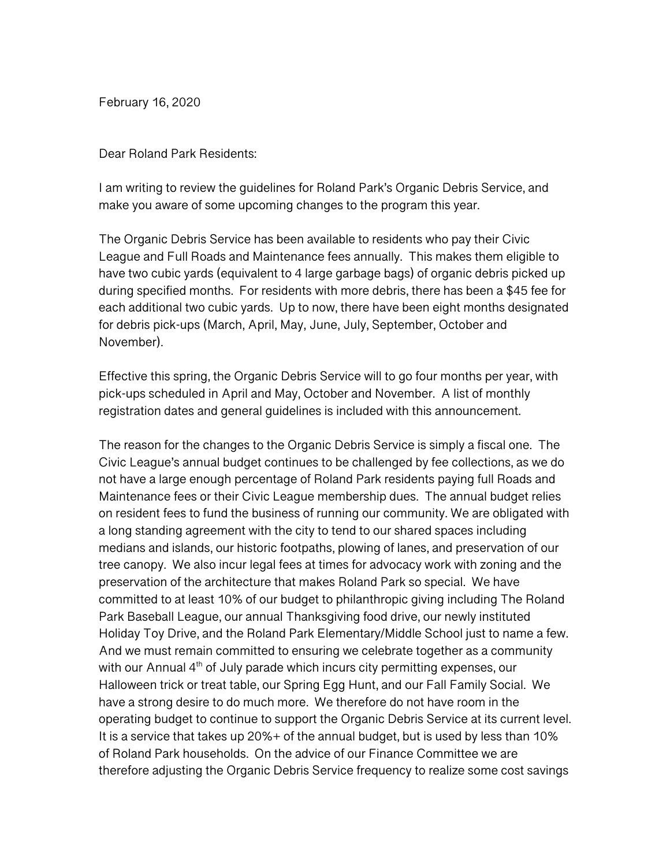February 16, 2020

Dear Roland Park Residents:

I am writing to review the guidelines for Roland Park's Organic Debris Service, and make you aware of some upcoming changes to the program this year.

The Organic Debris Service has been available to residents who pay their Civic League and Full Roads and Maintenance fees annually. This makes them eligible to have two cubic yards (equivalent to 4 large garbage bags) of organic debris picked up during specified months. For residents with more debris, there has been a \$45 fee for each additional two cubic yards. Up to now, there have been eight months designated for debris pick-ups (March, April, May, June, July, September, October and November).

Effective this spring, the Organic Debris Service will to go four months per year, with pick-ups scheduled in April and May, October and November. A list of monthly registration dates and general guidelines is included with this announcement.

The reason for the changes to the Organic Debris Service is simply a fiscal one. The Civic League's annual budget continues to be challenged by fee collections, as we do not have a large enough percentage of Roland Park residents paying full Roads and Maintenance fees or their Civic League membership dues. The annual budget relies on resident fees to fund the business of running our community. We are obligated with a long standing agreement with the city to tend to our shared spaces including medians and islands, our historic footpaths, plowing of lanes, and preservation of our tree canopy. We also incur legal fees at times for advocacy work with zoning and the preservation of the architecture that makes Roland Park so special. We have committed to at least 10% of our budget to philanthropic giving including The Roland Park Baseball League, our annual Thanksgiving food drive, our newly instituted Holiday Toy Drive, and the Roland Park Elementary/Middle School just to name a few. And we must remain committed to ensuring we celebrate together as a community with our Annual 4<sup>th</sup> of July parade which incurs city permitting expenses, our Halloween trick or treat table, our Spring Egg Hunt, and our Fall Family Social. We have a strong desire to do much more. We therefore do not have room in the operating budget to continue to support the Organic Debris Service at its current level. It is a service that takes up 20%+ of the annual budget, but is used by less than 10% of Roland Park households. On the advice of our Finance Committee we are therefore adjusting the Organic Debris Service frequency to realize some cost savings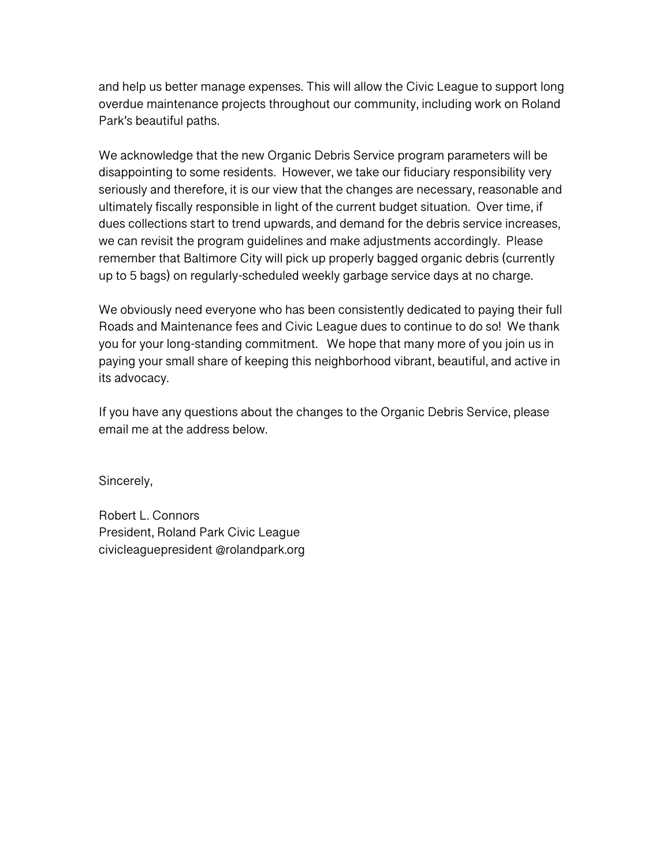and help us better manage expenses. This will allow the Civic League to support long overdue maintenance projects throughout our community, including work on Roland Park's beautiful paths.

We acknowledge that the new Organic Debris Service program parameters will be disappointing to some residents. However, we take our fiduciary responsibility very seriously and therefore, it is our view that the changes are necessary, reasonable and ultimately fiscally responsible in light of the current budget situation. Over time, if dues collections start to trend upwards, and demand for the debris service increases, we can revisit the program guidelines and make adjustments accordingly. Please remember that Baltimore City will pick up properly bagged organic debris (currently up to 5 bags) on regularly-scheduled weekly garbage service days at no charge.

We obviously need everyone who has been consistently dedicated to paying their full Roads and Maintenance fees and Civic League dues to continue to do so! We thank you for your long-standing commitment. We hope that many more of you join us in paying your small share of keeping this neighborhood vibrant, beautiful, and active in its advocacy.

If you have any questions about the changes to the Organic Debris Service, please email me at the address below.

Sincerely,

Robert L. Connors President, Roland Park Civic League civicleaguepresident @rolandpark.org